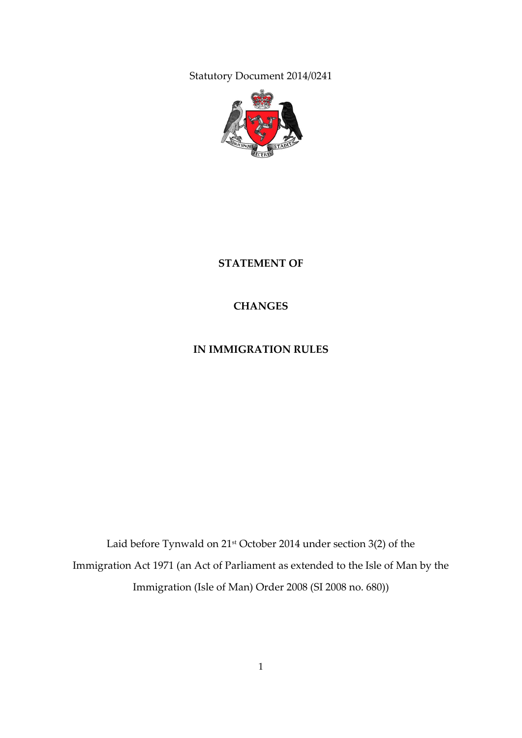Statutory Document 2014/0241



**STATEMENT OF**

**CHANGES**

**IN IMMIGRATION RULES**

Laid before Tynwald on 21st October 2014 under section 3(2) of the Immigration Act 1971 (an Act of Parliament as extended to the Isle of Man by the Immigration (Isle of Man) Order 2008 (SI 2008 no. 680))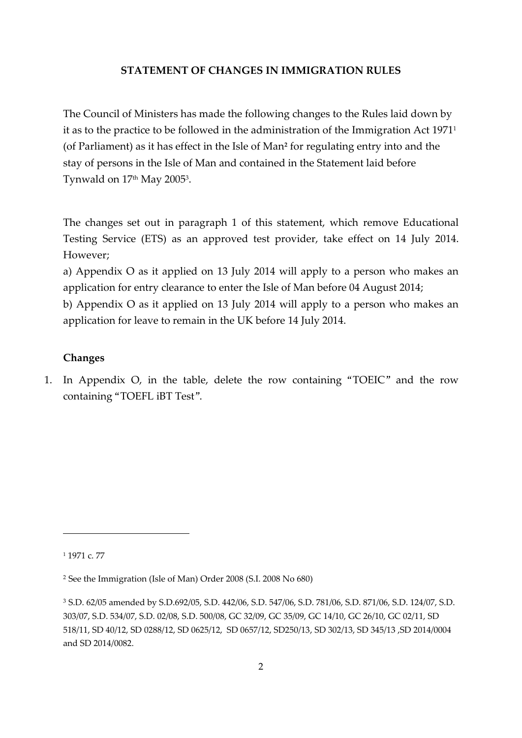#### **STATEMENT OF CHANGES IN IMMIGRATION RULES**

The Council of Ministers has made the following changes to the Rules laid down by it as to the practice to be followed in the administration of the Immigration Act 1971<sup>1</sup> (of Parliament) as it has effect in the Isle of Man**<sup>2</sup>** for regulating entry into and the stay of persons in the Isle of Man and contained in the Statement laid before Tynwald on 17th May 2005<sup>3</sup> .

The changes set out in paragraph 1 of this statement, which remove Educational Testing Service (ETS) as an approved test provider, take effect on 14 July 2014. However;

a) Appendix O as it applied on 13 July 2014 will apply to a person who makes an application for entry clearance to enter the Isle of Man before 04 August 2014;

b) Appendix O as it applied on 13 July 2014 will apply to a person who makes an application for leave to remain in the UK before 14 July 2014.

#### **Changes**

1. In Appendix O, in the table, delete the row containing "TOEIC" and the row containing "TOEFL iBT Test".

-

<sup>1</sup> 1971 c. 77

<sup>2</sup> See the Immigration (Isle of Man) Order 2008 (S.I. 2008 No 680)

<sup>3</sup> S.D. 62/05 amended by S.D.692/05, S.D. 442/06, S.D. 547/06, S.D. 781/06, S.D. 871/06, S.D. 124/07, S.D. 303/07, S.D. 534/07, S.D. 02/08, S.D. 500/08, GC 32/09, GC 35/09, GC 14/10, GC 26/10, GC 02/11, SD 518/11, SD 40/12, SD 0288/12, SD 0625/12, SD 0657/12, SD250/13, SD 302/13, SD 345/13 ,SD 2014/0004 and SD 2014/0082.